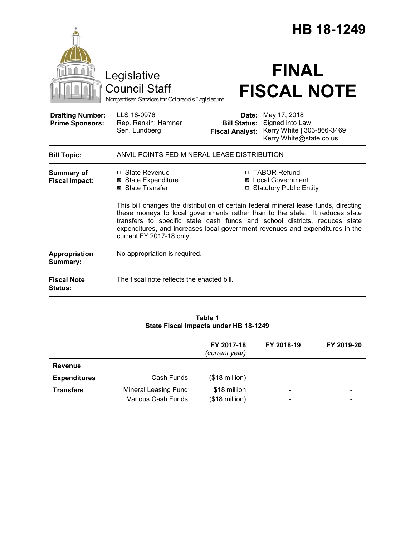|                                                   |                                                                                                                                                                                                                                                                                                                                                                 |                                                        | HB 18-1249                                                                               |  |
|---------------------------------------------------|-----------------------------------------------------------------------------------------------------------------------------------------------------------------------------------------------------------------------------------------------------------------------------------------------------------------------------------------------------------------|--------------------------------------------------------|------------------------------------------------------------------------------------------|--|
|                                                   | Legislative<br><b>Council Staff</b><br>Nonpartisan Services for Colorado's Legislature                                                                                                                                                                                                                                                                          |                                                        | <b>FINAL</b><br><b>FISCAL NOTE</b>                                                       |  |
| <b>Drafting Number:</b><br><b>Prime Sponsors:</b> | LLS 18-0976<br>Rep. Rankin; Hamner<br>Sen. Lundberg                                                                                                                                                                                                                                                                                                             | Date:<br><b>Bill Status:</b><br><b>Fiscal Analyst:</b> | May 17, 2018<br>Signed into Law<br>Kerry White   303-866-3469<br>Kerry.White@state.co.us |  |
| <b>Bill Topic:</b>                                | ANVIL POINTS FED MINERAL LEASE DISTRIBUTION                                                                                                                                                                                                                                                                                                                     |                                                        |                                                                                          |  |
| <b>Summary of</b><br><b>Fiscal Impact:</b>        | $\Box$ State Revenue<br><b>⊠</b> State Expenditure<br>⊠ State Transfer                                                                                                                                                                                                                                                                                          |                                                        | □ TABOR Refund<br>⊠ Local Government<br>□ Statutory Public Entity                        |  |
|                                                   | This bill changes the distribution of certain federal mineral lease funds, directing<br>these moneys to local governments rather than to the state. It reduces state<br>transfers to specific state cash funds and school districts, reduces state<br>expenditures, and increases local government revenues and expenditures in the<br>current FY 2017-18 only. |                                                        |                                                                                          |  |
| Appropriation<br>Summary:                         | No appropriation is required.                                                                                                                                                                                                                                                                                                                                   |                                                        |                                                                                          |  |
| <b>Fiscal Note</b><br><b>Status:</b>              | The fiscal note reflects the enacted bill.                                                                                                                                                                                                                                                                                                                      |                                                        |                                                                                          |  |

# **Table 1 State Fiscal Impacts under HB 18-1249**

|                     |                                                   | FY 2017-18<br>(current year)            | FY 2018-19 | FY 2019-20               |
|---------------------|---------------------------------------------------|-----------------------------------------|------------|--------------------------|
| Revenue             |                                                   |                                         |            |                          |
| <b>Expenditures</b> | Cash Funds                                        | $($18 \text{ million})$                 |            | $\overline{\phantom{0}}$ |
| <b>Transfers</b>    | <b>Mineral Leasing Fund</b><br>Various Cash Funds | \$18 million<br>$($18 \text{ million})$ |            |                          |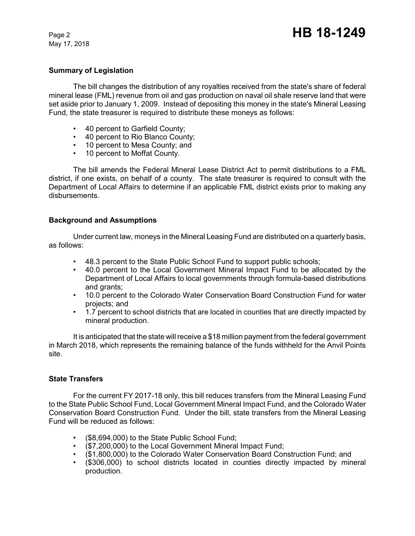May 17, 2018

### **Summary of Legislation**

The bill changes the distribution of any royalties received from the state's share of federal mineral lease (FML) revenue from oil and gas production on naval oil shale reserve land that were set aside prior to January 1, 2009. Instead of depositing this money in the state's Mineral Leasing Fund, the state treasurer is required to distribute these moneys as follows:

- 40 percent to Garfield County;
- 40 percent to Rio Blanco County;
- 10 percent to Mesa County; and
- 10 percent to Moffat County.

The bill amends the Federal Mineral Lease District Act to permit distributions to a FML district, if one exists, on behalf of a county. The state treasurer is required to consult with the Department of Local Affairs to determine if an applicable FML district exists prior to making any disbursements.

## **Background and Assumptions**

Under current law, moneys in the Mineral Leasing Fund are distributed on a quarterly basis, as follows:

- 48.3 percent to the State Public School Fund to support public schools;
- 40.0 percent to the Local Government Mineral Impact Fund to be allocated by the Department of Local Affairs to local governments through formula-based distributions and grants;
- 10.0 percent to the Colorado Water Conservation Board Construction Fund for water projects; and
- 1.7 percent to school districts that are located in counties that are directly impacted by mineral production.

It is anticipated that the state will receive a \$18 million payment from the federal government in March 2018, which represents the remaining balance of the funds withheld for the Anvil Points site.

### **State Transfers**

For the current FY 2017-18 only, this bill reduces transfers from the Mineral Leasing Fund to the State Public School Fund, Local Government Mineral Impact Fund, and the Colorado Water Conservation Board Construction Fund. Under the bill, state transfers from the Mineral Leasing Fund will be reduced as follows:

- (\$8,694,000) to the State Public School Fund;
- (\$7,200,000) to the Local Government Mineral Impact Fund;
- (\$1,800,000) to the Colorado Water Conservation Board Construction Fund; and
- (\$306,000) to school districts located in counties directly impacted by mineral production.